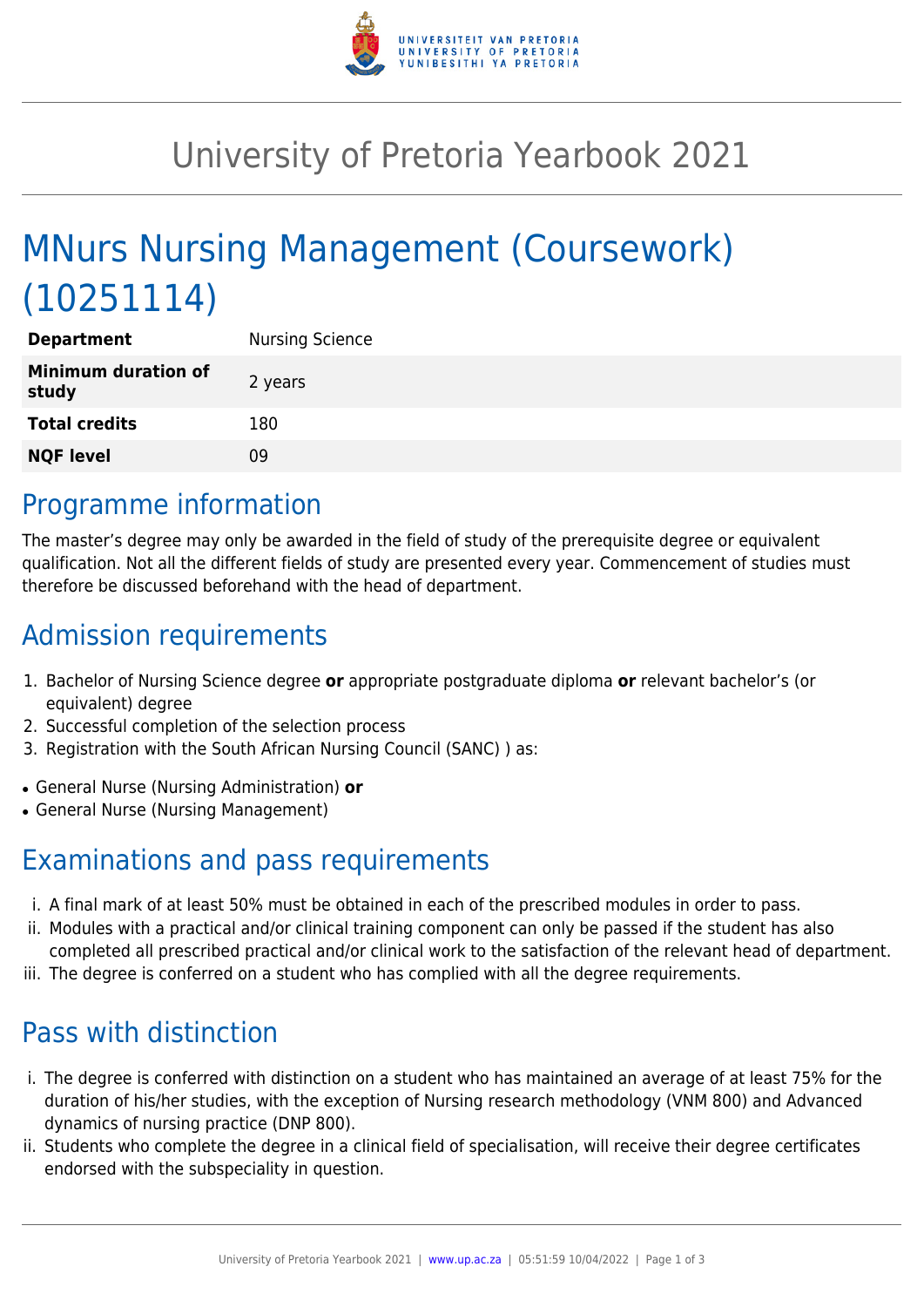

## University of Pretoria Yearbook 2021

# MNurs Nursing Management (Coursework) (10251114)

| <b>Department</b>                   | <b>Nursing Science</b> |
|-------------------------------------|------------------------|
| <b>Minimum duration of</b><br>study | 2 years                |
| <b>Total credits</b>                | 180                    |
| <b>NQF level</b>                    | 09                     |

### Programme information

The master's degree may only be awarded in the field of study of the prerequisite degree or equivalent qualification. Not all the different fields of study are presented every year. Commencement of studies must therefore be discussed beforehand with the head of department.

### Admission requirements

- 1. Bachelor of Nursing Science degree **or** appropriate postgraduate diploma **or** relevant bachelor's (or equivalent) degree
- 2. Successful completion of the selection process
- 3. Registration with the South African Nursing Council (SANC) ) as:
- General Nurse (Nursing Administration) **or**
- General Nurse (Nursing Management)

#### Examinations and pass requirements

- i. A final mark of at least 50% must be obtained in each of the prescribed modules in order to pass.
- ii. Modules with a practical and/or clinical training component can only be passed if the student has also completed all prescribed practical and/or clinical work to the satisfaction of the relevant head of department.
- iii. The degree is conferred on a student who has complied with all the degree requirements.

## Pass with distinction

- i. The degree is conferred with distinction on a student who has maintained an average of at least 75% for the duration of his/her studies, with the exception of Nursing research methodology (VNM 800) and Advanced dynamics of nursing practice (DNP 800).
- ii. Students who complete the degree in a clinical field of specialisation, will receive their degree certificates endorsed with the subspeciality in question.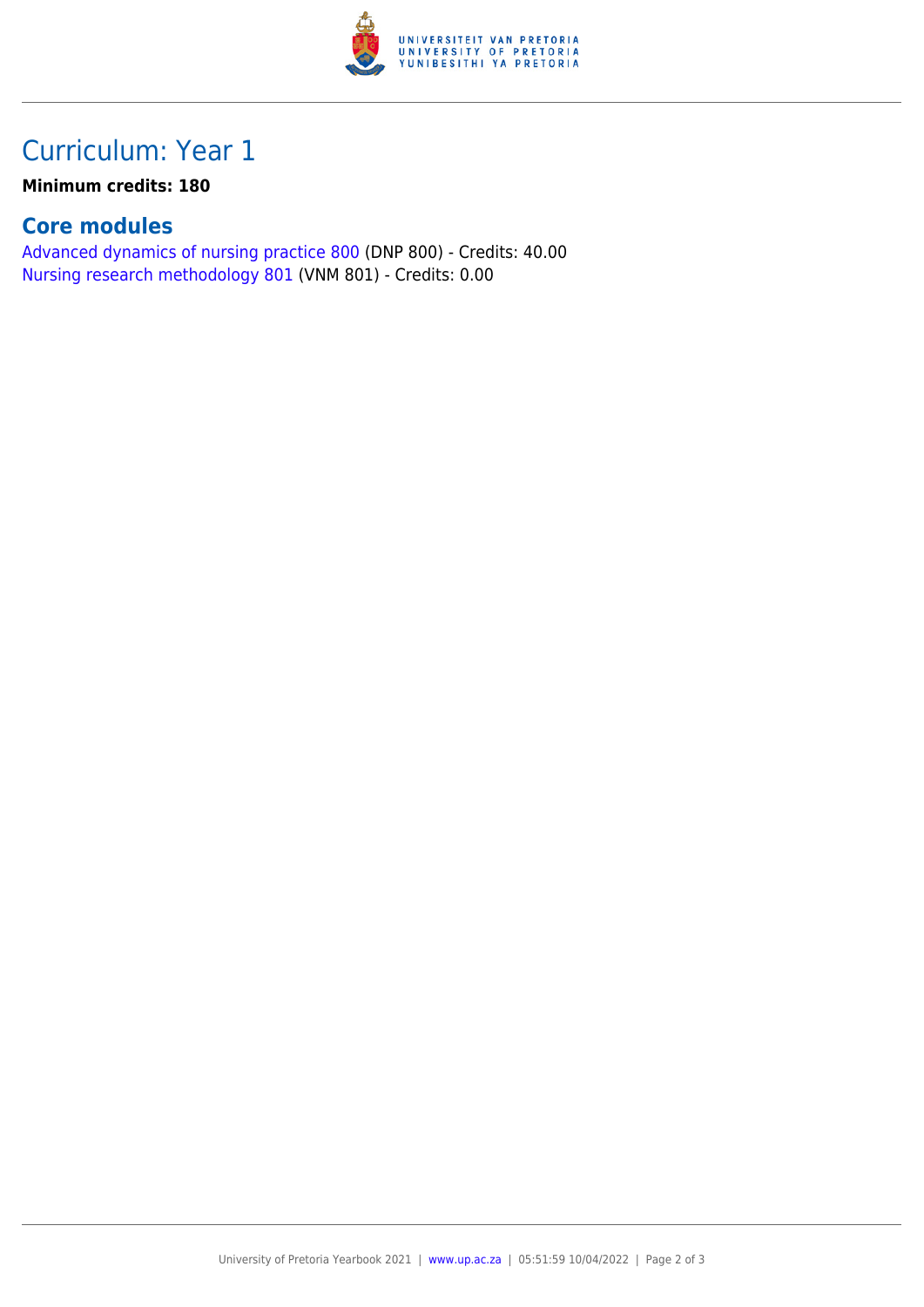

### Curriculum: Year 1

**Minimum credits: 180**

#### **Core modules**

[Advanced dynamics of nursing practice 800](https://www.up.ac.za/yearbooks/2021/modules/view/DNP 800) (DNP 800) - Credits: 40.00 [Nursing research methodology 801](https://www.up.ac.za/yearbooks/2021/modules/view/VNM 801) (VNM 801) - Credits: 0.00